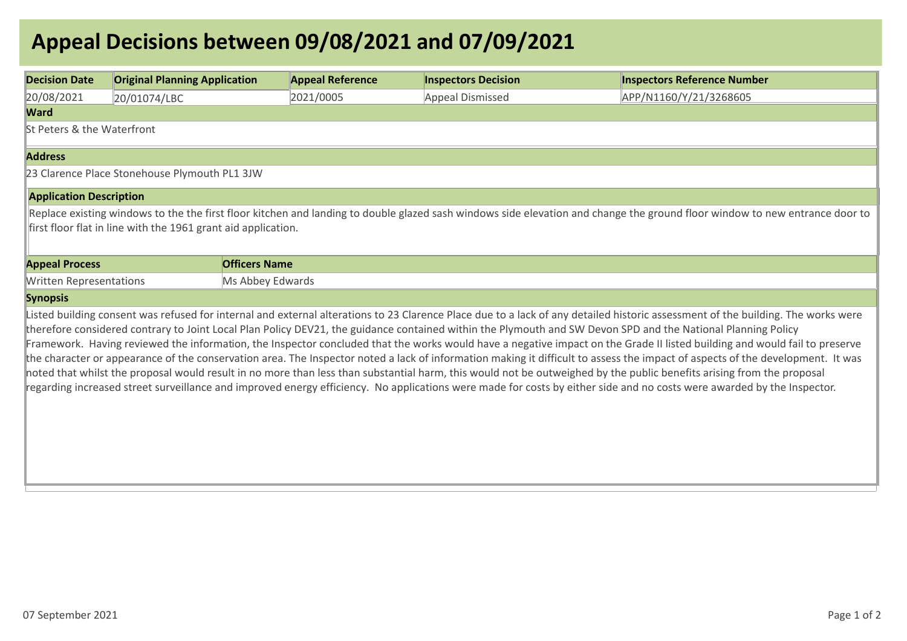## **Appeal Decisions between 09/08/2021 and 07/09/2021**

| <b>Decision Date</b>                                                                                                                                                                                                                                                                                                                                                                                                                                                                                                                                                                                                                                                                                                                                                                                                                                                                                                                                                                                                                                                | <b>Original Planning Application</b> | <b>Appeal Reference</b> | <b>Inspectors Decision</b> | <b>Inspectors Reference Number</b> |  |  |  |
|---------------------------------------------------------------------------------------------------------------------------------------------------------------------------------------------------------------------------------------------------------------------------------------------------------------------------------------------------------------------------------------------------------------------------------------------------------------------------------------------------------------------------------------------------------------------------------------------------------------------------------------------------------------------------------------------------------------------------------------------------------------------------------------------------------------------------------------------------------------------------------------------------------------------------------------------------------------------------------------------------------------------------------------------------------------------|--------------------------------------|-------------------------|----------------------------|------------------------------------|--|--|--|
| 20/08/2021                                                                                                                                                                                                                                                                                                                                                                                                                                                                                                                                                                                                                                                                                                                                                                                                                                                                                                                                                                                                                                                          | 20/01074/LBC                         | 2021/0005               | Appeal Dismissed           | APP/N1160/Y/21/3268605             |  |  |  |
| <b>Ward</b>                                                                                                                                                                                                                                                                                                                                                                                                                                                                                                                                                                                                                                                                                                                                                                                                                                                                                                                                                                                                                                                         |                                      |                         |                            |                                    |  |  |  |
| St Peters & the Waterfront                                                                                                                                                                                                                                                                                                                                                                                                                                                                                                                                                                                                                                                                                                                                                                                                                                                                                                                                                                                                                                          |                                      |                         |                            |                                    |  |  |  |
| <b>Address</b>                                                                                                                                                                                                                                                                                                                                                                                                                                                                                                                                                                                                                                                                                                                                                                                                                                                                                                                                                                                                                                                      |                                      |                         |                            |                                    |  |  |  |
| 23 Clarence Place Stonehouse Plymouth PL1 3JW                                                                                                                                                                                                                                                                                                                                                                                                                                                                                                                                                                                                                                                                                                                                                                                                                                                                                                                                                                                                                       |                                      |                         |                            |                                    |  |  |  |
| <b>Application Description</b>                                                                                                                                                                                                                                                                                                                                                                                                                                                                                                                                                                                                                                                                                                                                                                                                                                                                                                                                                                                                                                      |                                      |                         |                            |                                    |  |  |  |
| first floor flat in line with the 1961 grant aid application.<br><b>Appeal Process</b><br><b>Officers Name</b>                                                                                                                                                                                                                                                                                                                                                                                                                                                                                                                                                                                                                                                                                                                                                                                                                                                                                                                                                      |                                      |                         |                            |                                    |  |  |  |
| <b>Written Representations</b>                                                                                                                                                                                                                                                                                                                                                                                                                                                                                                                                                                                                                                                                                                                                                                                                                                                                                                                                                                                                                                      |                                      | Ms Abbey Edwards        |                            |                                    |  |  |  |
| <b>Synopsis</b>                                                                                                                                                                                                                                                                                                                                                                                                                                                                                                                                                                                                                                                                                                                                                                                                                                                                                                                                                                                                                                                     |                                      |                         |                            |                                    |  |  |  |
| Listed building consent was refused for internal and external alterations to 23 Clarence Place due to a lack of any detailed historic assessment of the building. The works were<br>therefore considered contrary to Joint Local Plan Policy DEV21, the guidance contained within the Plymouth and SW Devon SPD and the National Planning Policy<br>Framework. Having reviewed the information, the Inspector concluded that the works would have a negative impact on the Grade II listed building and would fail to preserve<br>the character or appearance of the conservation area. The Inspector noted a lack of information making it difficult to assess the impact of aspects of the development. It was<br>noted that whilst the proposal would result in no more than less than substantial harm, this would not be outweighed by the public benefits arising from the proposal<br>regarding increased street surveillance and improved energy efficiency. No applications were made for costs by either side and no costs were awarded by the Inspector. |                                      |                         |                            |                                    |  |  |  |